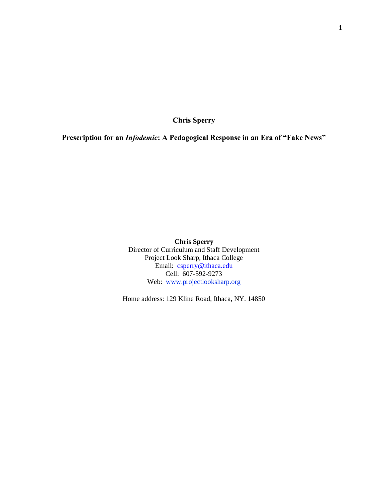**Chris Sperry**

**Prescription for an** *Infodemic***: A Pedagogical Response in an Era of "Fake News"**

**Chris Sperry** Director of Curriculum and Staff Development Project Look Sharp, Ithaca College Email: [csperry@ithaca.edu](mailto:csperry@ithaca.edu) Cell: 607-592-9273 Web: [www.projectlooksharp.org](http://www.projectlooksharp.org/)

Home address: 129 Kline Road, Ithaca, NY. 14850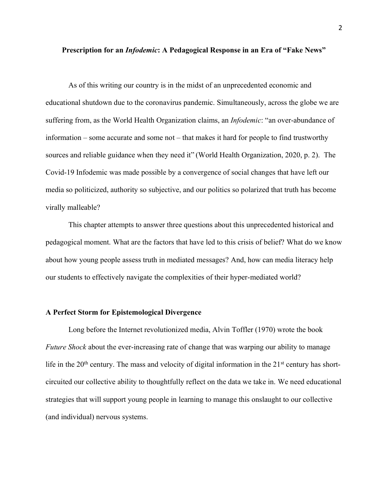### **Prescription for an** *Infodemic***: A Pedagogical Response in an Era of "Fake News"**

As of this writing our country is in the midst of an unprecedented economic and educational shutdown due to the coronavirus pandemic. Simultaneously, across the globe we are suffering from, as the World Health Organization claims, an *Infodemic*: "an over-abundance of information – some accurate and some not – that makes it hard for people to find trustworthy sources and reliable guidance when they need it" (World Health Organization, 2020, p. 2). The Covid-19 Infodemic was made possible by a convergence of social changes that have left our media so politicized, authority so subjective, and our politics so polarized that truth has become virally malleable?

This chapter attempts to answer three questions about this unprecedented historical and pedagogical moment. What are the factors that have led to this crisis of belief? What do we know about how young people assess truth in mediated messages? And, how can media literacy help our students to effectively navigate the complexities of their hyper-mediated world?

#### **A Perfect Storm for Epistemological Divergence**

Long before the Internet revolutionized media, Alvin Toffler (1970) wrote the book *Future Shock* about the ever-increasing rate of change that was warping our ability to manage life in the  $20<sup>th</sup>$  century. The mass and velocity of digital information in the  $21<sup>st</sup>$  century has shortcircuited our collective ability to thoughtfully reflect on the data we take in. We need educational strategies that will support young people in learning to manage this onslaught to our collective (and individual) nervous systems.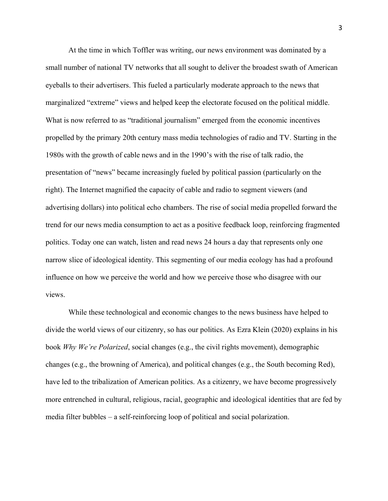At the time in which Toffler was writing, our news environment was dominated by a small number of national TV networks that all sought to deliver the broadest swath of American eyeballs to their advertisers. This fueled a particularly moderate approach to the news that marginalized "extreme" views and helped keep the electorate focused on the political middle. What is now referred to as "traditional journalism" emerged from the economic incentives propelled by the primary 20th century mass media technologies of radio and TV. Starting in the 1980s with the growth of cable news and in the 1990's with the rise of talk radio, the presentation of "news" became increasingly fueled by political passion (particularly on the right). The Internet magnified the capacity of cable and radio to segment viewers (and advertising dollars) into political echo chambers. The rise of social media propelled forward the trend for our news media consumption to act as a positive feedback loop, reinforcing fragmented politics. Today one can watch, listen and read news 24 hours a day that represents only one narrow slice of ideological identity. This segmenting of our media ecology has had a profound influence on how we perceive the world and how we perceive those who disagree with our views.

While these technological and economic changes to the news business have helped to divide the world views of our citizenry, so has our politics. As Ezra Klein (2020) explains in his book *Why We're Polarized*, social changes (e.g., the civil rights movement), demographic changes (e.g., the browning of America), and political changes (e.g., the South becoming Red), have led to the tribalization of American politics. As a citizenry, we have become progressively more entrenched in cultural, religious, racial, geographic and ideological identities that are fed by media filter bubbles – a self-reinforcing loop of political and social polarization.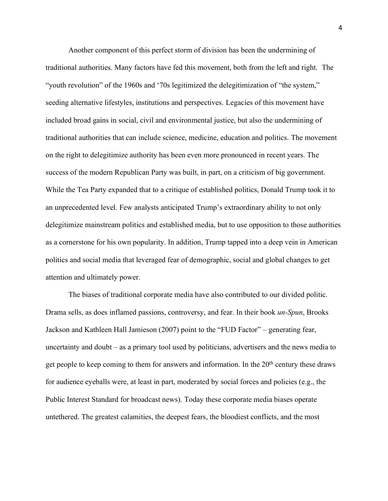Another component of this perfect storm of division has been the undermining of traditional authorities. Many factors have fed this movement, both from the left and right. The "youth revolution" of the 1960s and '70s legitimized the delegitimization of "the system," seeding alternative lifestyles, institutions and perspectives. Legacies of this movement have included broad gains in social, civil and environmental justice, but also the undermining of traditional authorities that can include science, medicine, education and politics. The movement on the right to delegitimize authority has been even more pronounced in recent years. The success of the modern Republican Party was built, in part, on a criticism of big government. While the Tea Party expanded that to a critique of established politics, Donald Trump took it to an unprecedented level. Few analysts anticipated Trump's extraordinary ability to not only delegitimize mainstream politics and established media, but to use opposition to those authorities as a cornerstone for his own popularity. In addition, Trump tapped into a deep vein in American politics and social media that leveraged fear of demographic, social and global changes to get attention and ultimately power.

The biases of traditional corporate media have also contributed to our divided politic. Drama sells, as does inflamed passions, controversy, and fear. In their book *un-Spun*, Brooks Jackson and Kathleen Hall Jamieson (2007) point to the "FUD Factor" – generating fear, uncertainty and doubt – as a primary tool used by politicians, advertisers and the news media to get people to keep coming to them for answers and information. In the  $20<sup>th</sup>$  century these draws for audience eyeballs were, at least in part, moderated by social forces and policies (e.g., the Public Interest Standard for broadcast news). Today these corporate media biases operate untethered. The greatest calamities, the deepest fears, the bloodiest conflicts, and the most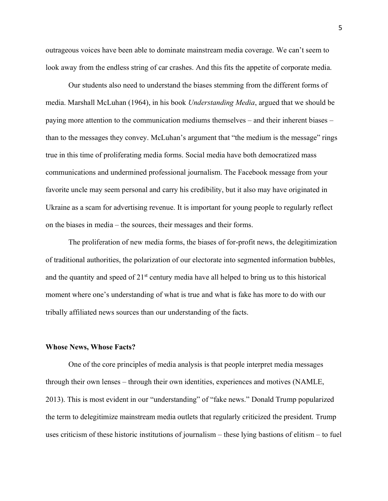outrageous voices have been able to dominate mainstream media coverage. We can't seem to look away from the endless string of car crashes. And this fits the appetite of corporate media.

Our students also need to understand the biases stemming from the different forms of media. Marshall McLuhan (1964), in his book *Understanding Media*, argued that we should be paying more attention to the communication mediums themselves – and their inherent biases – than to the messages they convey. McLuhan's argument that "the medium is the message" rings true in this time of proliferating media forms. Social media have both democratized mass communications and undermined professional journalism. The Facebook message from your favorite uncle may seem personal and carry his credibility, but it also may have originated in Ukraine as a scam for advertising revenue. It is important for young people to regularly reflect on the biases in media – the sources, their messages and their forms.

The proliferation of new media forms, the biases of for-profit news, the delegitimization of traditional authorities, the polarization of our electorate into segmented information bubbles, and the quantity and speed of  $21<sup>st</sup>$  century media have all helped to bring us to this historical moment where one's understanding of what is true and what is fake has more to do with our tribally affiliated news sources than our understanding of the facts.

#### **Whose News, Whose Facts?**

One of the core principles of media analysis is that people interpret media messages through their own lenses – through their own identities, experiences and motives (NAMLE, 2013). This is most evident in our "understanding" of "fake news." Donald Trump popularized the term to delegitimize mainstream media outlets that regularly criticized the president. Trump uses criticism of these historic institutions of journalism – these lying bastions of elitism – to fuel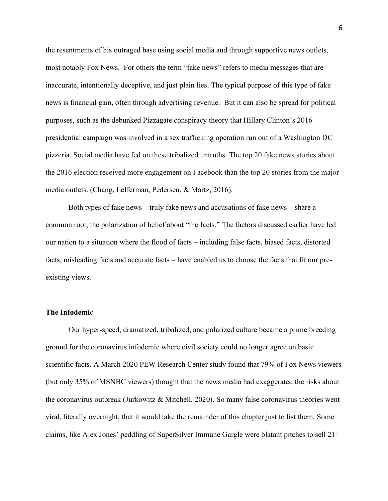the resentments of his outraged base using social media and through supportive news outlets, most notably Fox News. For others the term "fake news" refers to media messages that are inaccurate, intentionally deceptive, and just plain lies. The typical purpose of this type of fake news is financial gain, often through advertising revenue. But it can also be spread for political purposes, such as the debunked Pizzagate conspiracy theory that Hillary Clinton's 2016 presidential campaign was involved in a sex trafficking operation run out of a Washington DC pizzeria. Social media have fed on these tribalized untruths. The top 20 fake news stories about the 2016 election received more engagement on Facebook than the top 20 stories from the major media outlets. (Chang, Lefferman, Pedersen, & Martz, 2016).

Both types of fake news – truly fake news and accusations of fake news – share a common root, the polarization of belief about "the facts." The factors discussed earlier have led our nation to a situation where the flood of facts – including false facts, biased facts, distorted facts, misleading facts and accurate facts – have enabled us to choose the facts that fit our preexisting views.

## **The Infodemic**

Our hyper-speed, dramatized, tribalized, and polarized culture became a prime breeding ground for the coronavirus infodemic where civil society could no longer agree on basic scientific facts. A March 2020 PEW Research Center study found that 79% of Fox News viewers (but only 35% of MSNBC viewers) thought that the news media had exaggerated the risks about the coronavirus outbreak (Jurkowitz & Mitchell, 2020). So many false coronavirus theories went viral, literally overnight, that it would take the remainder of this chapter just to list them. Some claims, like Alex Jones' peddling of SuperSilver Immune Gargle were blatant pitches to sell 21<sup>st</sup>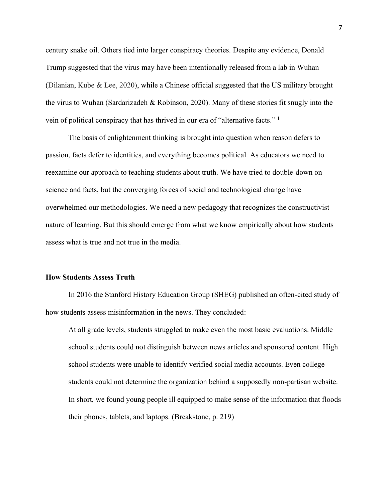century snake oil. Others tied into larger conspiracy theories. Despite any evidence, Donald Trump suggested that the virus may have been intentionally released from a lab in Wuhan (Dilanian, Kube & Lee, 2020), while a Chinese official suggested that the US military brought the virus to Wuhan (Sardarizadeh & Robinson, 2020). Many of these stories fit snugly into the vein of political conspiracy that has thrived in our era of "alternative facts." <sup>1</sup>

The basis of enlightenment thinking is brought into question when reason defers to passion, facts defer to identities, and everything becomes political. As educators we need to reexamine our approach to teaching students about truth. We have tried to double-down on science and facts, but the converging forces of social and technological change have overwhelmed our methodologies. We need a new pedagogy that recognizes the constructivist nature of learning. But this should emerge from what we know empirically about how students assess what is true and not true in the media.

#### **How Students Assess Truth**

In 2016 the Stanford History Education Group (SHEG) published an often-cited study of how students assess misinformation in the news. They concluded:

At all grade levels, students struggled to make even the most basic evaluations. Middle school students could not distinguish between news articles and sponsored content. High school students were unable to identify verified social media accounts. Even college students could not determine the organization behind a supposedly non-partisan website. In short, we found young people ill equipped to make sense of the information that floods their phones, tablets, and laptops. (Breakstone, p. 219)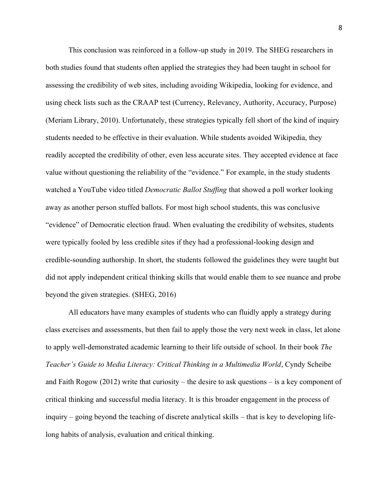This conclusion was reinforced in a follow-up study in 2019. The SHEG researchers in both studies found that students often applied the strategies they had been taught in school for assessing the credibility of web sites, including avoiding Wikipedia, looking for evidence, and using check lists such as the CRAAP test (Currency, Relevancy, Authority, Accuracy, Purpose) (Meriam Library, 2010). Unfortunately, these strategies typically fell short of the kind of inquiry students needed to be effective in their evaluation. While students avoided Wikipedia, they readily accepted the credibility of other, even less accurate sites. They accepted evidence at face value without questioning the reliability of the "evidence." For example, in the study students watched a YouTube video titled *Democratic Ballot Stuffing* that showed a poll worker looking away as another person stuffed ballots. For most high school students, this was conclusive "evidence" of Democratic election fraud. When evaluating the credibility of websites, students were typically fooled by less credible sites if they had a professional-looking design and credible-sounding authorship. In short, the students followed the guidelines they were taught but did not apply independent critical thinking skills that would enable them to see nuance and probe beyond the given strategies. (SHEG, 2016)

All educators have many examples of students who can fluidly apply a strategy during class exercises and assessments, but then fail to apply those the very next week in class, let alone to apply well-demonstrated academic learning to their life outside of school. In their book *The Teacher's Guide to Media Literacy: Critical Thinking in a Multimedia World*, Cyndy Scheibe and Faith Rogow (2012) write that curiosity – the desire to ask questions – is a key component of critical thinking and successful media literacy. It is this broader engagement in the process of inquiry – going beyond the teaching of discrete analytical skills – that is key to developing lifelong habits of analysis, evaluation and critical thinking.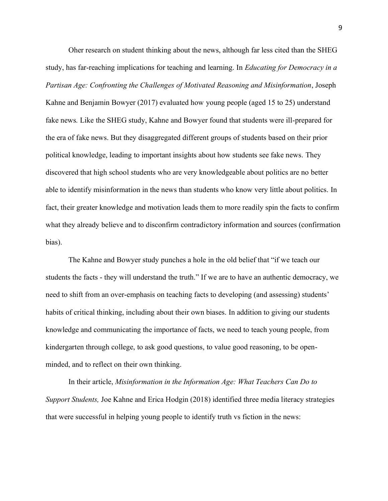Oher research on student thinking about the news, although far less cited than the SHEG study, has far-reaching implications for teaching and learning. In *Educating for Democracy in a Partisan Age: Confronting the Challenges of Motivated Reasoning and Misinformation*, Joseph Kahne and Benjamin Bowyer (2017) evaluated how young people (aged 15 to 25) understand fake news*.* Like the SHEG study, Kahne and Bowyer found that students were ill-prepared for the era of fake news. But they disaggregated different groups of students based on their prior political knowledge, leading to important insights about how students see fake news. They discovered that high school students who are very knowledgeable about politics are no better able to identify misinformation in the news than students who know very little about politics. In fact, their greater knowledge and motivation leads them to more readily spin the facts to confirm what they already believe and to disconfirm contradictory information and sources (confirmation bias).

The Kahne and Bowyer study punches a hole in the old belief that "if we teach our students the facts - they will understand the truth." If we are to have an authentic democracy, we need to shift from an over-emphasis on teaching facts to developing (and assessing) students' habits of critical thinking, including about their own biases. In addition to giving our students knowledge and communicating the importance of facts, we need to teach young people, from kindergarten through college, to ask good questions, to value good reasoning, to be openminded, and to reflect on their own thinking.

 In their article, *Misinformation in the Information Age: What Teachers Can Do to Support Students,* Joe Kahne and Erica Hodgin (2018) identified three media literacy strategies that were successful in helping young people to identify truth vs fiction in the news: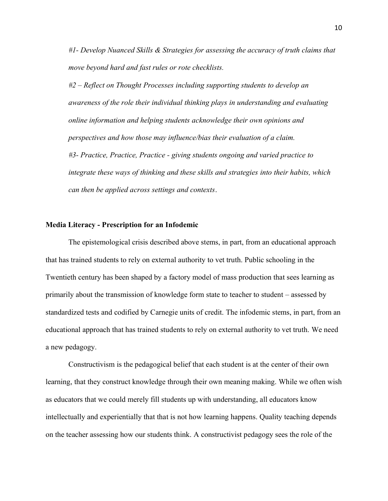*#1- Develop Nuanced Skills & Strategies for assessing the accuracy of truth claims that move beyond hard and fast rules or rote checklists.*

*#2 – Reflect on Thought Processes including supporting students to develop an awareness of the role their individual thinking plays in understanding and evaluating online information and helping students acknowledge their own opinions and perspectives and how those may influence/bias their evaluation of a claim. #3- Practice, Practice, Practice - giving students ongoing and varied practice to integrate these ways of thinking and these skills and strategies into their habits, which can then be applied across settings and contexts*.

## **Media Literacy - Prescription for an Infodemic**

The epistemological crisis described above stems, in part, from an educational approach that has trained students to rely on external authority to vet truth. Public schooling in the Twentieth century has been shaped by a factory model of mass production that sees learning as primarily about the transmission of knowledge form state to teacher to student – assessed by standardized tests and codified by Carnegie units of credit. The infodemic stems, in part, from an educational approach that has trained students to rely on external authority to vet truth. We need a new pedagogy.

Constructivism is the pedagogical belief that each student is at the center of their own learning, that they construct knowledge through their own meaning making. While we often wish as educators that we could merely fill students up with understanding, all educators know intellectually and experientially that that is not how learning happens. Quality teaching depends on the teacher assessing how our students think. A constructivist pedagogy sees the role of the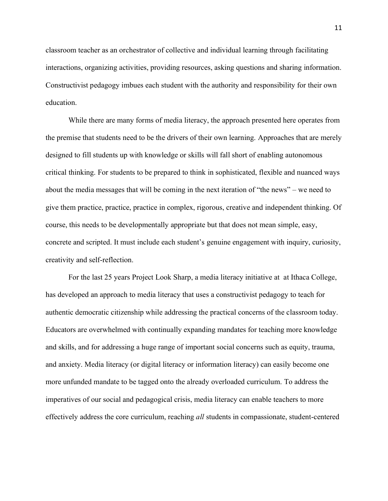classroom teacher as an orchestrator of collective and individual learning through facilitating interactions, organizing activities, providing resources, asking questions and sharing information. Constructivist pedagogy imbues each student with the authority and responsibility for their own education.

While there are many forms of media literacy, the approach presented here operates from the premise that students need to be the drivers of their own learning. Approaches that are merely designed to fill students up with knowledge or skills will fall short of enabling autonomous critical thinking. For students to be prepared to think in sophisticated, flexible and nuanced ways about the media messages that will be coming in the next iteration of "the news" – we need to give them practice, practice, practice in complex, rigorous, creative and independent thinking. Of course, this needs to be developmentally appropriate but that does not mean simple, easy, concrete and scripted. It must include each student's genuine engagement with inquiry, curiosity, creativity and self-reflection.

For the last 25 years Project Look Sharp, a media literacy initiative at at Ithaca College, has developed an approach to media literacy that uses a constructivist pedagogy to teach for authentic democratic citizenship while addressing the practical concerns of the classroom today. Educators are overwhelmed with continually expanding mandates for teaching more knowledge and skills, and for addressing a huge range of important social concerns such as equity, trauma, and anxiety. Media literacy (or digital literacy or information literacy) can easily become one more unfunded mandate to be tagged onto the already overloaded curriculum. To address the imperatives of our social and pedagogical crisis, media literacy can enable teachers to more effectively address the core curriculum, reaching *all* students in compassionate, student-centered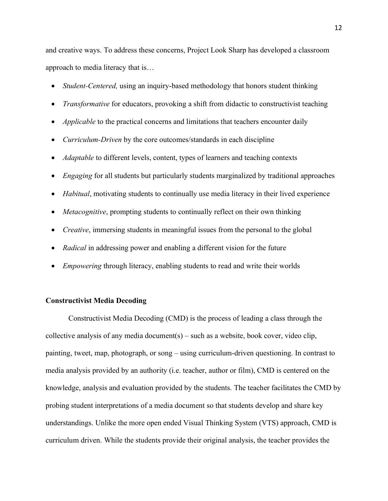and creative ways. To address these concerns, Project Look Sharp has developed a classroom approach to media literacy that is…

- *Student-Centered,* using an inquiry-based methodology that honors student thinking
- *Transformative* for educators, provoking a shift from didactic to constructivist teaching
- *Applicable* to the practical concerns and limitations that teachers encounter daily
- *Curriculum-Driven* by the core outcomes/standards in each discipline
- *Adaptable* to different levels, content, types of learners and teaching contexts
- *Engaging* for all students but particularly students marginalized by traditional approaches
- *Habitual*, motivating students to continually use media literacy in their lived experience
- *Metacognitive*, prompting students to continually reflect on their own thinking
- *Creative*, immersing students in meaningful issues from the personal to the global
- *Radical* in addressing power and enabling a different vision for the future
- *Empowering* through literacy, enabling students to read and write their worlds

# **Constructivist Media Decoding**

Constructivist Media Decoding (CMD) is the process of leading a class through the collective analysis of any media document(s) – such as a website, book cover, video clip, painting, tweet, map, photograph, or song – using curriculum-driven questioning. In contrast to media analysis provided by an authority (i.e. teacher, author or film), CMD is centered on the knowledge, analysis and evaluation provided by the students. The teacher facilitates the CMD by probing student interpretations of a media document so that students develop and share key understandings. Unlike the more open ended Visual Thinking System (VTS) approach, CMD is curriculum driven. While the students provide their original analysis, the teacher provides the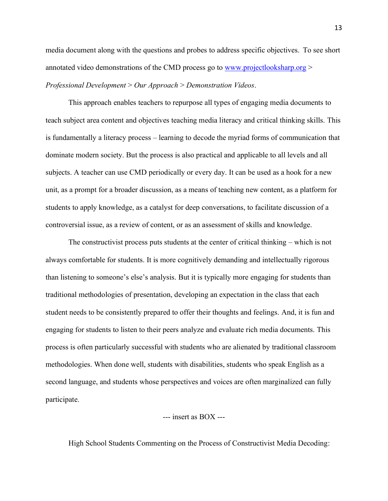media document along with the questions and probes to address specific objectives. To see short annotated video demonstrations of the CMD process go to [www.projectlooksharp.org](http://www.projectlooksharp.org/) > *Professional Development* > *Our Approach* > *Demonstration Videos*.

This approach enables teachers to repurpose all types of engaging media documents to teach subject area content and objectives teaching media literacy and critical thinking skills. This is fundamentally a literacy process – learning to decode the myriad forms of communication that dominate modern society. But the process is also practical and applicable to all levels and all subjects. A teacher can use CMD periodically or every day. It can be used as a hook for a new unit, as a prompt for a broader discussion, as a means of teaching new content, as a platform for students to apply knowledge, as a catalyst for deep conversations, to facilitate discussion of a controversial issue, as a review of content, or as an assessment of skills and knowledge.

The constructivist process puts students at the center of critical thinking – which is not always comfortable for students. It is more cognitively demanding and intellectually rigorous than listening to someone's else's analysis. But it is typically more engaging for students than traditional methodologies of presentation, developing an expectation in the class that each student needs to be consistently prepared to offer their thoughts and feelings. And, it is fun and engaging for students to listen to their peers analyze and evaluate rich media documents. This process is often particularly successful with students who are alienated by traditional classroom methodologies. When done well, students with disabilities, students who speak English as a second language, and students whose perspectives and voices are often marginalized can fully participate.

# --- insert as BOX ---

High School Students Commenting on the Process of Constructivist Media Decoding: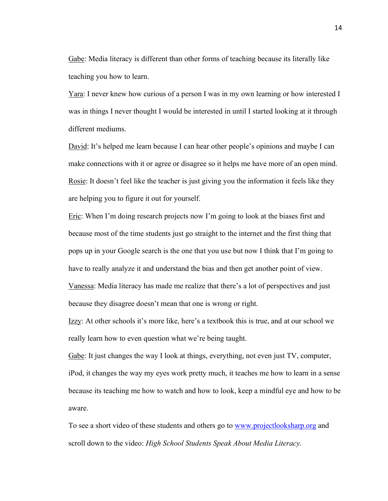Gabe: Media literacy is different than other forms of teaching because its literally like teaching you how to learn.

Yara: I never knew how curious of a person I was in my own learning or how interested I was in things I never thought I would be interested in until I started looking at it through different mediums.

David: It's helped me learn because I can hear other people's opinions and maybe I can make connections with it or agree or disagree so it helps me have more of an open mind. Rosie: It doesn't feel like the teacher is just giving you the information it feels like they are helping you to figure it out for yourself.

Eric: When I'm doing research projects now I'm going to look at the biases first and because most of the time students just go straight to the internet and the first thing that pops up in your Google search is the one that you use but now I think that I'm going to have to really analyze it and understand the bias and then get another point of view. Vanessa: Media literacy has made me realize that there's a lot of perspectives and just because they disagree doesn't mean that one is wrong or right.

Izzy: At other schools it's more like, here's a textbook this is true, and at our school we really learn how to even question what we're being taught.

Gabe: It just changes the way I look at things, everything, not even just TV, computer, iPod, it changes the way my eyes work pretty much, it teaches me how to learn in a sense because its teaching me how to watch and how to look, keep a mindful eye and how to be aware.

To see a short video of these students and others go to [www.projectlooksharp.org](http://www.projectlooksharp.org/) and scroll down to the video: *High School Students Speak About Media Literacy.*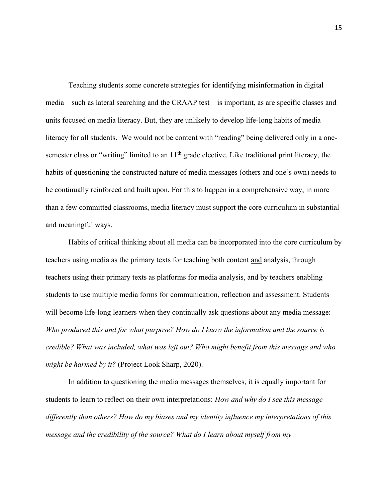Teaching students some concrete strategies for identifying misinformation in digital media – such as lateral searching and the CRAAP test – is important, as are specific classes and units focused on media literacy. But, they are unlikely to develop life-long habits of media literacy for all students. We would not be content with "reading" being delivered only in a onesemester class or "writing" limited to an 11<sup>th</sup> grade elective. Like traditional print literacy, the habits of questioning the constructed nature of media messages (others and one's own) needs to be continually reinforced and built upon. For this to happen in a comprehensive way, in more than a few committed classrooms, media literacy must support the core curriculum in substantial and meaningful ways.

Habits of critical thinking about all media can be incorporated into the core curriculum by teachers using media as the primary texts for teaching both content and analysis, through teachers using their primary texts as platforms for media analysis, and by teachers enabling students to use multiple media forms for communication, reflection and assessment. Students will become life-long learners when they continually ask questions about any media message: *Who produced this and for what purpose? How do I know the information and the source is credible? What was included, what was left out? Who might benefit from this message and who might be harmed by it?* (Project Look Sharp, 2020).

In addition to questioning the media messages themselves, it is equally important for students to learn to reflect on their own interpretations: *How and why do I see this message differently than others? How do my biases and my identity influence my interpretations of this message and the credibility of the source? What do I learn about myself from my*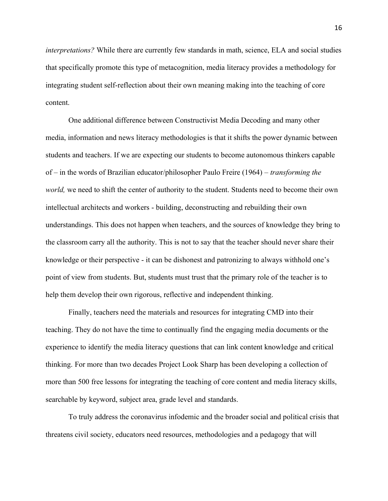*interpretations?* While there are currently few standards in math, science, ELA and social studies that specifically promote this type of metacognition, media literacy provides a methodology for integrating student self-reflection about their own meaning making into the teaching of core content.

One additional difference between Constructivist Media Decoding and many other media, information and news literacy methodologies is that it shifts the power dynamic between students and teachers. If we are expecting our students to become autonomous thinkers capable of – in the words of Brazilian educator/philosopher Paulo Freire (1964) – *transforming the world,* we need to shift the center of authority to the student. Students need to become their own intellectual architects and workers - building, deconstructing and rebuilding their own understandings. This does not happen when teachers, and the sources of knowledge they bring to the classroom carry all the authority. This is not to say that the teacher should never share their knowledge or their perspective - it can be dishonest and patronizing to always withhold one's point of view from students. But, students must trust that the primary role of the teacher is to help them develop their own rigorous, reflective and independent thinking.

Finally, teachers need the materials and resources for integrating CMD into their teaching. They do not have the time to continually find the engaging media documents or the experience to identify the media literacy questions that can link content knowledge and critical thinking. For more than two decades Project Look Sharp has been developing a collection of more than 500 free lessons for integrating the teaching of core content and media literacy skills, searchable by keyword, subject area, grade level and standards.

To truly address the coronavirus infodemic and the broader social and political crisis that threatens civil society, educators need resources, methodologies and a pedagogy that will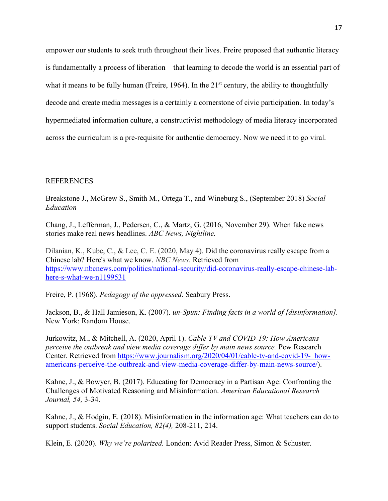empower our students to seek truth throughout their lives. Freire proposed that authentic literacy is fundamentally a process of liberation – that learning to decode the world is an essential part of what it means to be fully human (Freire, 1964). In the  $21<sup>st</sup>$  century, the ability to thoughtfully decode and create media messages is a certainly a cornerstone of civic participation. In today's hypermediated information culture, a constructivist methodology of media literacy incorporated across the curriculum is a pre-requisite for authentic democracy. Now we need it to go viral.

## REFERENCES

Breakstone J., McGrew S., Smith M., Ortega T., and Wineburg S., (September 2018) *Social Education*

Chang, J., Lefferman, J., Pedersen, C., & Martz, G. (2016, November 29). When fake news stories make real news headlines. *ABC News, Nightline.*

Dilanian, K., Kube, C., & Lee, C. E. (2020, May 4). Did the coronavirus really escape from a Chinese lab? Here's what we know. *NBC News*. Retrieved from [https://www.nbcnews.com/politics/national-security/did-coronavirus-really-escape-chinese-lab](https://www.nbcnews.com/politics/national-security/did-coronavirus-really-escape-chinese-lab-here-s-what-we-n1199531)[here-s-what-we-n1199531](https://www.nbcnews.com/politics/national-security/did-coronavirus-really-escape-chinese-lab-here-s-what-we-n1199531)

Freire, P. (1968). *Pedagogy of the oppressed*. Seabury Press.

Jackson, B., & Hall Jamieson, K. (2007). *un-Spun: Finding facts in a world of [disinformation].* New York: Random House.

Jurkowitz, M., & Mitchell, A. (2020, April 1). *Cable TV and COVID-19: How Americans perceive the outbreak and view media coverage differ by main news source.* Pew Research Center. Retrieved from [https://www.journalism.org/2020/04/01/cable-tv-and-covid-19- how](https://www.journalism.org/2020/04/01/cable-tv-and-covid-19-%20%20%20%20how-americans-perceive-the-outbreak-and-view-media-coverage-differ-by-main-news-source/)[americans-perceive-the-outbreak-and-view-media-coverage-differ-by-main-news-source/\)](https://www.journalism.org/2020/04/01/cable-tv-and-covid-19-%20%20%20%20how-americans-perceive-the-outbreak-and-view-media-coverage-differ-by-main-news-source/).

Kahne, J., & Bowyer, B. (2017). Educating for Democracy in a Partisan Age: Confronting the Challenges of Motivated Reasoning and Misinformation. *American Educational Research Journal, 54,* 3-34.

Kahne, J., & Hodgin, E. (2018). Misinformation in the information age: What teachers can do to support students. *Social Education, 82(4),* 208-211, 214.

Klein, E. (2020). *Why we're polarized.* London: Avid Reader Press, Simon & Schuster.